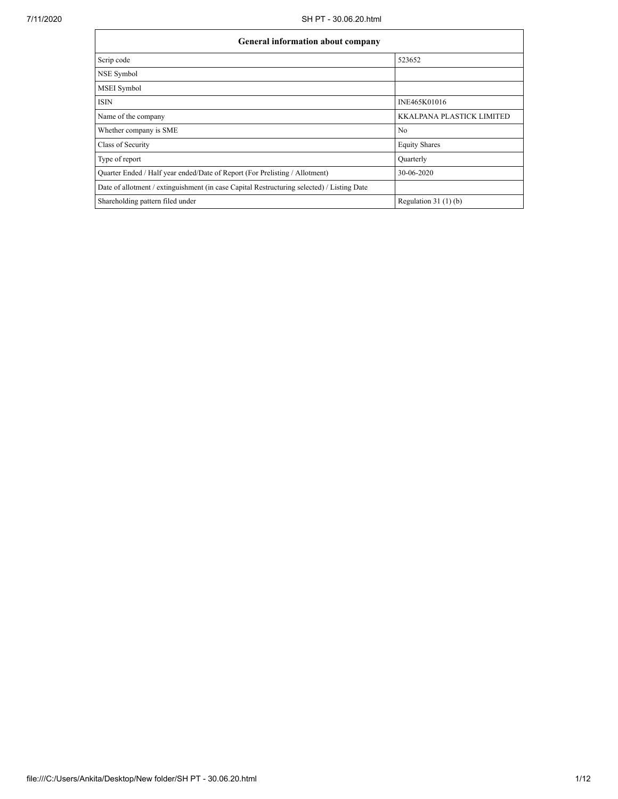| <b>General information about company</b>                                                   |                                  |  |  |  |  |  |
|--------------------------------------------------------------------------------------------|----------------------------------|--|--|--|--|--|
| Scrip code                                                                                 | 523652                           |  |  |  |  |  |
| NSE Symbol                                                                                 |                                  |  |  |  |  |  |
| MSEI Symbol                                                                                |                                  |  |  |  |  |  |
| <b>ISIN</b>                                                                                | INE465K01016                     |  |  |  |  |  |
| Name of the company                                                                        | <b>KKALPANA PLASTICK LIMITED</b> |  |  |  |  |  |
| Whether company is SME                                                                     | N <sub>0</sub>                   |  |  |  |  |  |
| Class of Security                                                                          | <b>Equity Shares</b>             |  |  |  |  |  |
| Type of report                                                                             | Quarterly                        |  |  |  |  |  |
| Quarter Ended / Half year ended/Date of Report (For Prelisting / Allotment)                | 30-06-2020                       |  |  |  |  |  |
| Date of allotment / extinguishment (in case Capital Restructuring selected) / Listing Date |                                  |  |  |  |  |  |
| Shareholding pattern filed under                                                           | Regulation $31(1)(b)$            |  |  |  |  |  |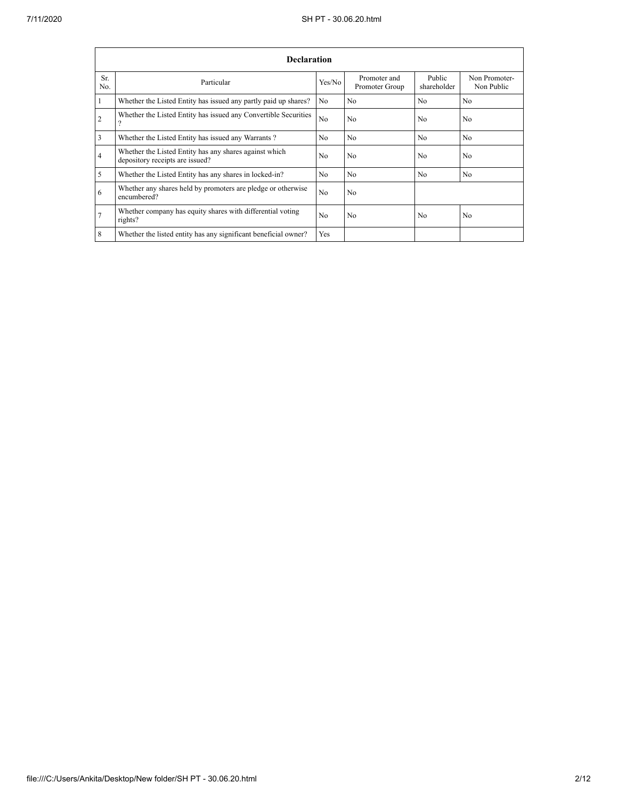|                | <b>Declaration</b>                                                                        |                |                                |                       |                             |  |  |  |  |  |
|----------------|-------------------------------------------------------------------------------------------|----------------|--------------------------------|-----------------------|-----------------------------|--|--|--|--|--|
| Sr.<br>No.     | Particular                                                                                | Yes/No         | Promoter and<br>Promoter Group | Public<br>shareholder | Non Promoter-<br>Non Public |  |  |  |  |  |
| $\mathbf{1}$   | Whether the Listed Entity has issued any partly paid up shares?                           | No             | N <sub>0</sub>                 | N <sub>0</sub>        | N <sub>0</sub>              |  |  |  |  |  |
| $\overline{2}$ | Whether the Listed Entity has issued any Convertible Securities<br>$\Omega$               | N <sub>o</sub> | No                             | N <sub>0</sub>        | N <sub>0</sub>              |  |  |  |  |  |
| 3              | Whether the Listed Entity has issued any Warrants?                                        | N <sub>0</sub> | No                             | N <sub>0</sub>        | N <sub>0</sub>              |  |  |  |  |  |
| $\overline{4}$ | Whether the Listed Entity has any shares against which<br>depository receipts are issued? | N <sub>0</sub> | No                             | N <sub>0</sub>        | N <sub>0</sub>              |  |  |  |  |  |
| 5              | Whether the Listed Entity has any shares in locked-in?                                    | N <sub>0</sub> | N <sub>0</sub>                 | N <sub>0</sub>        | N <sub>0</sub>              |  |  |  |  |  |
| 6              | Whether any shares held by promoters are pledge or otherwise<br>encumbered?               | N <sub>0</sub> | No                             |                       |                             |  |  |  |  |  |
| $\overline{7}$ | Whether company has equity shares with differential voting<br>rights?                     | N <sub>0</sub> | No                             | N <sub>0</sub>        | N <sub>o</sub>              |  |  |  |  |  |
| 8              | Whether the listed entity has any significant beneficial owner?                           | <b>Yes</b>     |                                |                       |                             |  |  |  |  |  |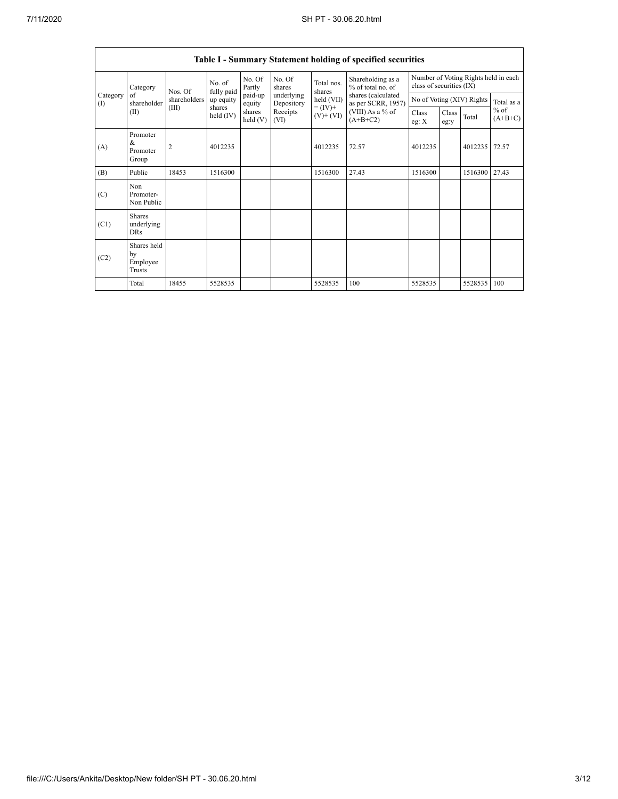|                   | Table I - Summary Statement holding of specified securities |                |                       |                      |                          |                                            |                                                                            |                                        |                                                                  |         |                     |  |
|-------------------|-------------------------------------------------------------|----------------|-----------------------|----------------------|--------------------------|--------------------------------------------|----------------------------------------------------------------------------|----------------------------------------|------------------------------------------------------------------|---------|---------------------|--|
|                   | Category<br>of<br>shareholder<br>(II)                       |                | Nos. Of               | No. of<br>fully paid | No. Of<br>Partly         | No. Of<br>shares                           | Total nos.<br>shares                                                       | Shareholding as a<br>% of total no. of | Number of Voting Rights held in each<br>class of securities (IX) |         |                     |  |
| Category<br>$($ I |                                                             | shareholders   | up equity             | paid-up<br>equity    | underlying<br>Depository | held (VII)<br>$= (IV) +$<br>$(V)$ + $(VI)$ | shares (calculated<br>as per SCRR, 1957)<br>(VIII) As a % of<br>$(A+B+C2)$ | No of Voting (XIV) Rights              |                                                                  |         | Total as a          |  |
|                   |                                                             | (III)          | shares<br>held $(IV)$ | shares<br>held(V)    | Receipts<br>(VI)         |                                            |                                                                            | <b>Class</b><br>eg: X                  | Class<br>eg:y                                                    | Total   | $%$ of<br>$(A+B+C)$ |  |
| (A)               | Promoter<br>$\&$<br>Promoter<br>Group                       | $\overline{2}$ | 4012235               |                      |                          | 4012235                                    | 72.57                                                                      | 4012235                                |                                                                  | 4012235 | 72.57               |  |
| (B)               | Public                                                      | 18453          | 1516300               |                      |                          | 1516300                                    | 27.43                                                                      | 1516300                                |                                                                  | 1516300 | 27.43               |  |
| (C)               | Non<br>Promoter-<br>Non Public                              |                |                       |                      |                          |                                            |                                                                            |                                        |                                                                  |         |                     |  |
| (C1)              | <b>Shares</b><br>underlying<br><b>DRs</b>                   |                |                       |                      |                          |                                            |                                                                            |                                        |                                                                  |         |                     |  |
| (C2)              | Shares held<br>by<br>Employee<br>Trusts                     |                |                       |                      |                          |                                            |                                                                            |                                        |                                                                  |         |                     |  |
|                   | Total                                                       | 18455          | 5528535               |                      |                          | 5528535                                    | 100                                                                        | 5528535                                |                                                                  | 5528535 | 100                 |  |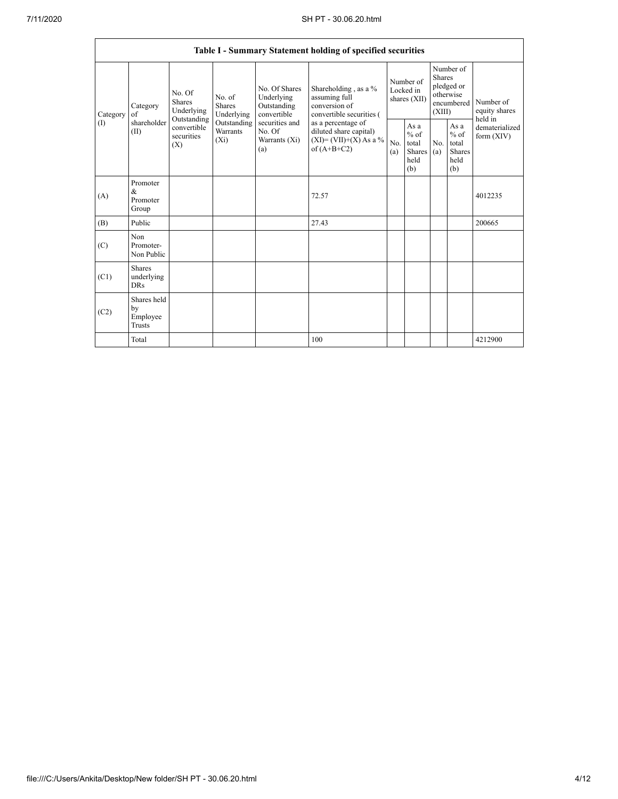|          |                                         |                                                                                                                                                                  |                                                  |                                                                                            | Table I - Summary Statement holding of specified securities                        |                                                  |            |                                                                               |                                |                                       |
|----------|-----------------------------------------|------------------------------------------------------------------------------------------------------------------------------------------------------------------|--------------------------------------------------|--------------------------------------------------------------------------------------------|------------------------------------------------------------------------------------|--------------------------------------------------|------------|-------------------------------------------------------------------------------|--------------------------------|---------------------------------------|
| Category | Category<br>of<br>shareholder<br>(II)   | No. Of<br>No. of<br>Shares<br><b>Shares</b><br>Underlying<br>Underlying<br>Outstanding<br>Outstanding<br>convertible<br>Warrants<br>securities<br>$(X_i)$<br>(X) |                                                  | No. Of Shares<br>Underlying<br>Outstanding<br>convertible                                  | Shareholding, as a %<br>assuming full<br>conversion of<br>convertible securities ( | Number of<br>Locked in<br>shares (XII)           |            | Number of<br><b>Shares</b><br>pledged or<br>otherwise<br>encumbered<br>(XIII) |                                | Number of<br>equity shares<br>held in |
| (1)      |                                         |                                                                                                                                                                  | securities and<br>No. Of<br>Warrants (Xi)<br>(a) | as a percentage of<br>diluted share capital)<br>$(XI) = (VII)+(X) As a %$<br>of $(A+B+C2)$ | N <sub>0</sub><br>(a)                                                              | As a<br>$%$ of<br>total<br>Shares<br>held<br>(b) | No.<br>(a) | As a<br>$%$ of<br>total<br><b>Shares</b><br>held<br>(b)                       | dematerialized<br>form $(XIV)$ |                                       |
| (A)      | Promoter<br>$\&$<br>Promoter<br>Group   |                                                                                                                                                                  |                                                  |                                                                                            | 72.57                                                                              |                                                  |            |                                                                               |                                | 4012235                               |
| (B)      | Public                                  |                                                                                                                                                                  |                                                  |                                                                                            | 27.43                                                                              |                                                  |            |                                                                               |                                | 200665                                |
| (C)      | Non<br>Promoter-<br>Non Public          |                                                                                                                                                                  |                                                  |                                                                                            |                                                                                    |                                                  |            |                                                                               |                                |                                       |
| (C1)     | Shares<br>underlying<br><b>DRs</b>      |                                                                                                                                                                  |                                                  |                                                                                            |                                                                                    |                                                  |            |                                                                               |                                |                                       |
| (C2)     | Shares held<br>by<br>Employee<br>Trusts |                                                                                                                                                                  |                                                  |                                                                                            |                                                                                    |                                                  |            |                                                                               |                                |                                       |
|          | Total                                   |                                                                                                                                                                  |                                                  |                                                                                            | 100                                                                                |                                                  |            |                                                                               |                                | 4212900                               |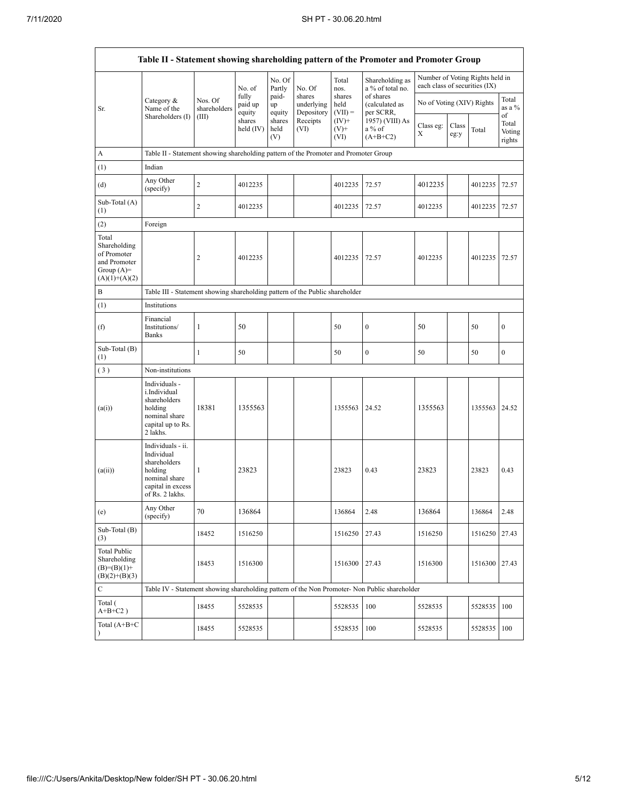|                                                                                         |                                                                                                                     |                                                                              |                            |                       |                                    |                             | Table II - Statement showing shareholding pattern of the Promoter and Promoter Group          |                               |               |                                 |                                 |  |
|-----------------------------------------------------------------------------------------|---------------------------------------------------------------------------------------------------------------------|------------------------------------------------------------------------------|----------------------------|-----------------------|------------------------------------|-----------------------------|-----------------------------------------------------------------------------------------------|-------------------------------|---------------|---------------------------------|---------------------------------|--|
|                                                                                         |                                                                                                                     |                                                                              | No. of                     | No. Of<br>Partly      | No. Of                             | Total<br>nos.               | Shareholding as<br>a % of total no.                                                           | each class of securities (IX) |               | Number of Voting Rights held in |                                 |  |
| Sr.                                                                                     | Category &<br>Name of the                                                                                           | Nos. Of<br>shareholders                                                      | fully<br>paid up<br>equity | paid-<br>up<br>equity | shares<br>underlying<br>Depository | shares<br>held<br>$(VII) =$ | of shares<br>(calculated as<br>per SCRR,                                                      | No of Voting (XIV) Rights     |               |                                 | Total<br>as a %                 |  |
|                                                                                         | Shareholders (I)                                                                                                    | (III)                                                                        | shares<br>held (IV)        | shares<br>held<br>(V) | Receipts<br>(VI)                   | $(IV)+$<br>$(V)$ +<br>(VI)  | 1957) (VIII) As<br>$a\%$ of<br>$(A+B+C2)$                                                     | Class eg:<br>Χ                | Class<br>eg:y | Total                           | of<br>Total<br>Voting<br>rights |  |
| A                                                                                       | Table II - Statement showing shareholding pattern of the Promoter and Promoter Group                                |                                                                              |                            |                       |                                    |                             |                                                                                               |                               |               |                                 |                                 |  |
| (1)                                                                                     | Indian                                                                                                              |                                                                              |                            |                       |                                    |                             |                                                                                               |                               |               |                                 |                                 |  |
| (d)                                                                                     | Any Other<br>(specify)                                                                                              | $\overline{c}$                                                               | 4012235                    |                       |                                    | 4012235                     | 72.57                                                                                         | 4012235                       |               | 4012235                         | 72.57                           |  |
| Sub-Total $(A)$<br>(1)                                                                  |                                                                                                                     | $\overline{c}$                                                               | 4012235                    |                       |                                    | 4012235                     | 72.57                                                                                         | 4012235                       |               | 4012235                         | 72.57                           |  |
| (2)                                                                                     | Foreign                                                                                                             |                                                                              |                            |                       |                                    |                             |                                                                                               |                               |               |                                 |                                 |  |
| Total<br>Shareholding<br>of Promoter<br>and Promoter<br>Group $(A)=$<br>$(A)(1)+(A)(2)$ |                                                                                                                     | 2                                                                            | 4012235                    |                       |                                    | 4012235                     | 72.57                                                                                         | 4012235                       |               | 4012235                         | 72.57                           |  |
| B                                                                                       |                                                                                                                     | Table III - Statement showing shareholding pattern of the Public shareholder |                            |                       |                                    |                             |                                                                                               |                               |               |                                 |                                 |  |
| (1)                                                                                     | Institutions                                                                                                        |                                                                              |                            |                       |                                    |                             |                                                                                               |                               |               |                                 |                                 |  |
| (f)                                                                                     | Financial<br>Institutions/<br><b>Banks</b>                                                                          | $\mathbf{1}$                                                                 | 50                         |                       |                                    | 50                          | $\bf{0}$                                                                                      | 50                            |               | 50                              | $\boldsymbol{0}$                |  |
| Sub-Total $(B)$<br>(1)                                                                  |                                                                                                                     | $\mathbf{1}$                                                                 | 50                         |                       |                                    | 50                          | $\bf{0}$                                                                                      | 50                            |               | 50                              | $\boldsymbol{0}$                |  |
| (3)                                                                                     | Non-institutions                                                                                                    |                                                                              |                            |                       |                                    |                             |                                                                                               |                               |               |                                 |                                 |  |
| (a(i))                                                                                  | Individuals -<br>i.Individual<br>shareholders<br>holding<br>nominal share<br>capital up to Rs.<br>2 lakhs.          | 18381                                                                        | 1355563                    |                       |                                    | 1355563 24.52               |                                                                                               | 1355563                       |               | 1355563 24.52                   |                                 |  |
| (a(ii))                                                                                 | Individuals - ii.<br>Individual<br>shareholders<br>holding<br>nominal share<br>capital in excess<br>of Rs. 2 lakhs. | 1                                                                            | 23823                      |                       |                                    | 23823                       | 0.43                                                                                          | 23823                         |               | 23823                           | 0.43                            |  |
| (e)                                                                                     | Any Other<br>(specify)                                                                                              | $70\,$                                                                       | 136864                     |                       |                                    | 136864                      | 2.48                                                                                          | 136864                        |               | 136864                          | 2.48                            |  |
| Sub-Total (B)<br>(3)                                                                    |                                                                                                                     | 18452                                                                        | 1516250                    |                       |                                    | 1516250                     | 27.43                                                                                         | 1516250                       |               | 1516250 27.43                   |                                 |  |
| <b>Total Public</b><br>Shareholding<br>$(B)= (B)(1) +$<br>$(B)(2)+(B)(3)$               |                                                                                                                     | 18453                                                                        | 1516300                    |                       |                                    | 1516300                     | 27.43                                                                                         | 1516300                       |               | 1516300 27.43                   |                                 |  |
| $\mathbf C$                                                                             |                                                                                                                     |                                                                              |                            |                       |                                    |                             | Table IV - Statement showing shareholding pattern of the Non Promoter- Non Public shareholder |                               |               |                                 |                                 |  |
| Total (<br>$\mathrm{A} \text{+} \mathrm{B} \text{+} \mathrm{C2}$ )                      |                                                                                                                     | 18455                                                                        | 5528535                    |                       |                                    | 5528535                     | 100                                                                                           | 5528535                       |               | 5528535                         | 100                             |  |
| Total $(A+B+C)$                                                                         |                                                                                                                     | 18455                                                                        | 5528535                    |                       |                                    | 5528535                     | 100                                                                                           | 5528535                       |               | 5528535                         | 100                             |  |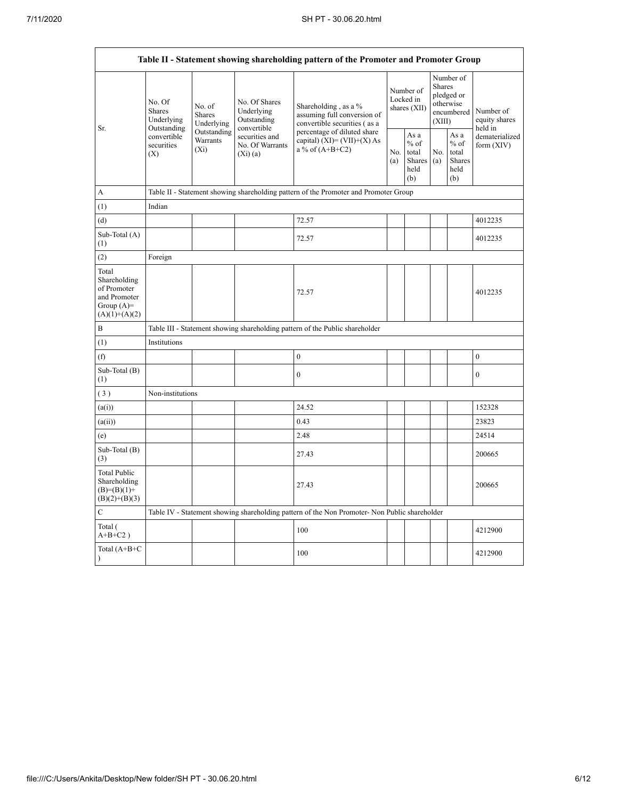Ē

|                                                                                         | Table II - Statement showing shareholding pattern of the Promoter and Promoter Group                                                                     |             |                                                           |                                                                                                                                                                           |                                        |                                                  |                                                                        |                                                         |                                       |
|-----------------------------------------------------------------------------------------|----------------------------------------------------------------------------------------------------------------------------------------------------------|-------------|-----------------------------------------------------------|---------------------------------------------------------------------------------------------------------------------------------------------------------------------------|----------------------------------------|--------------------------------------------------|------------------------------------------------------------------------|---------------------------------------------------------|---------------------------------------|
| Sr.                                                                                     | No. Of<br>No. of<br><b>Shares</b><br><b>Shares</b><br>Underlying<br>Underlying<br>Outstanding<br>convertible<br>Warrants<br>securities<br>$(X_i)$<br>(X) |             | No. Of Shares<br>Underlying<br>Outstanding<br>convertible | Shareholding, as a %<br>assuming full conversion of<br>convertible securities (as a<br>percentage of diluted share<br>capital) $(XI) = (VII)+(X) As$<br>a % of $(A+B+C2)$ | Number of<br>Locked in<br>shares (XII) |                                                  | Number of<br>Shares<br>pledged or<br>otherwise<br>encumbered<br>(XIII) |                                                         | Number of<br>equity shares<br>held in |
|                                                                                         |                                                                                                                                                          | Outstanding | securities and<br>No. Of Warrants<br>$(X_i)(a)$           |                                                                                                                                                                           | No.<br>(a)                             | As a<br>$%$ of<br>total<br>Shares<br>held<br>(b) | No.<br>(a)                                                             | As a<br>$%$ of<br>total<br><b>Shares</b><br>held<br>(b) | dematerialized<br>form $(XIV)$        |
| A                                                                                       |                                                                                                                                                          |             |                                                           | Table II - Statement showing shareholding pattern of the Promoter and Promoter Group                                                                                      |                                        |                                                  |                                                                        |                                                         |                                       |
| (1)                                                                                     | Indian                                                                                                                                                   |             |                                                           |                                                                                                                                                                           |                                        |                                                  |                                                                        |                                                         |                                       |
| (d)                                                                                     |                                                                                                                                                          |             |                                                           | 72.57                                                                                                                                                                     |                                        |                                                  |                                                                        |                                                         | 4012235                               |
| Sub-Total (A)<br>(1)                                                                    |                                                                                                                                                          |             |                                                           | 72.57                                                                                                                                                                     |                                        |                                                  |                                                                        |                                                         | 4012235                               |
| (2)                                                                                     | Foreign                                                                                                                                                  |             |                                                           |                                                                                                                                                                           |                                        |                                                  |                                                                        |                                                         |                                       |
| Total<br>Shareholding<br>of Promoter<br>and Promoter<br>Group $(A)=$<br>$(A)(1)+(A)(2)$ |                                                                                                                                                          |             |                                                           | 72.57                                                                                                                                                                     |                                        |                                                  |                                                                        |                                                         | 4012235                               |
| B                                                                                       |                                                                                                                                                          |             |                                                           | Table III - Statement showing shareholding pattern of the Public shareholder                                                                                              |                                        |                                                  |                                                                        |                                                         |                                       |
| (1)                                                                                     | Institutions                                                                                                                                             |             |                                                           |                                                                                                                                                                           |                                        |                                                  |                                                                        |                                                         |                                       |
| (f)                                                                                     |                                                                                                                                                          |             |                                                           | $\boldsymbol{0}$                                                                                                                                                          |                                        |                                                  |                                                                        |                                                         | $\boldsymbol{0}$                      |
| Sub-Total (B)<br>(1)                                                                    |                                                                                                                                                          |             |                                                           | $\theta$                                                                                                                                                                  |                                        |                                                  |                                                                        |                                                         | $\overline{0}$                        |
| (3)                                                                                     | Non-institutions                                                                                                                                         |             |                                                           |                                                                                                                                                                           |                                        |                                                  |                                                                        |                                                         |                                       |
| (a(i))                                                                                  |                                                                                                                                                          |             |                                                           | 24.52                                                                                                                                                                     |                                        |                                                  |                                                                        |                                                         | 152328                                |
| (a(ii))                                                                                 |                                                                                                                                                          |             |                                                           | 0.43                                                                                                                                                                      |                                        |                                                  |                                                                        |                                                         | 23823                                 |
| (e)                                                                                     |                                                                                                                                                          |             |                                                           | 2.48                                                                                                                                                                      |                                        |                                                  |                                                                        |                                                         | 24514                                 |
| Sub-Total (B)<br>(3)                                                                    |                                                                                                                                                          |             |                                                           | 27.43                                                                                                                                                                     |                                        |                                                  |                                                                        |                                                         | 200665                                |
| <b>Total Public</b><br>Shareholding<br>$(B)=(B)(1)+$<br>$(B)(2)+(B)(3)$                 |                                                                                                                                                          |             |                                                           | 27.43                                                                                                                                                                     |                                        |                                                  |                                                                        |                                                         | 200665                                |
| C                                                                                       |                                                                                                                                                          |             |                                                           | Table IV - Statement showing shareholding pattern of the Non Promoter- Non Public shareholder                                                                             |                                        |                                                  |                                                                        |                                                         |                                       |
| Total (<br>$A+B+C2$ )                                                                   |                                                                                                                                                          |             |                                                           | 100                                                                                                                                                                       |                                        |                                                  |                                                                        |                                                         | 4212900                               |
| Total (A+B+C<br>$\mathcal{E}$                                                           |                                                                                                                                                          |             |                                                           | 100                                                                                                                                                                       |                                        |                                                  |                                                                        |                                                         | 4212900                               |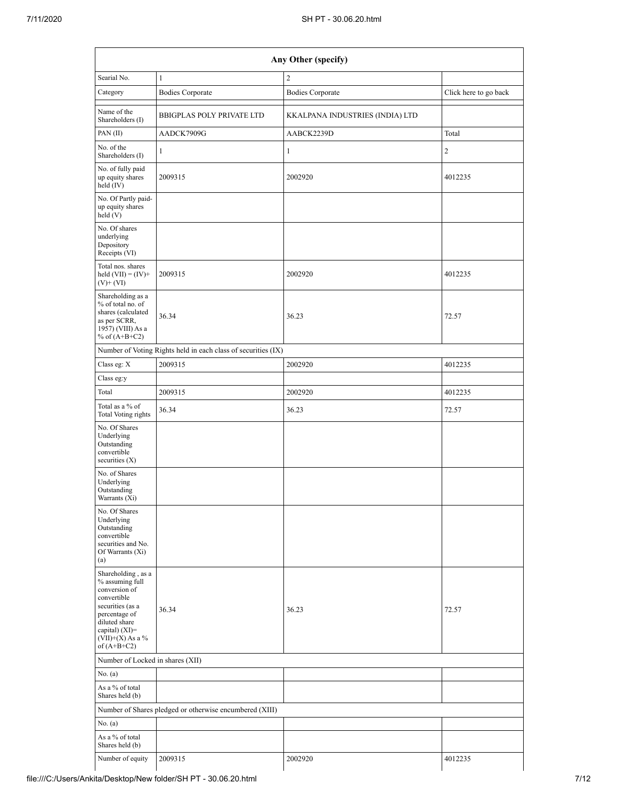|                                                                                                                                                                                        | Any Other (specify)                                           |                                 |                       |  |  |  |  |  |
|----------------------------------------------------------------------------------------------------------------------------------------------------------------------------------------|---------------------------------------------------------------|---------------------------------|-----------------------|--|--|--|--|--|
| Searial No.                                                                                                                                                                            | $\mathbf{1}$                                                  | $\overline{2}$                  |                       |  |  |  |  |  |
| Category                                                                                                                                                                               | <b>Bodies Corporate</b>                                       | <b>Bodies Corporate</b>         | Click here to go back |  |  |  |  |  |
| Name of the<br>Shareholders (I)                                                                                                                                                        | <b>BBIGPLAS POLY PRIVATE LTD</b>                              | KKALPANA INDUSTRIES (INDIA) LTD |                       |  |  |  |  |  |
| PAN(II)                                                                                                                                                                                | AADCK7909G                                                    | AABCK2239D                      | Total                 |  |  |  |  |  |
| No. of the<br>Shareholders (I)                                                                                                                                                         | $\mathbf{1}$                                                  | $\mathbf{1}$                    | $\overline{c}$        |  |  |  |  |  |
| No. of fully paid<br>up equity shares<br>held (IV)                                                                                                                                     | 2009315                                                       | 2002920                         | 4012235               |  |  |  |  |  |
| No. Of Partly paid-<br>up equity shares<br>held(V)                                                                                                                                     |                                                               |                                 |                       |  |  |  |  |  |
| No. Of shares<br>underlying<br>Depository<br>Receipts (VI)                                                                                                                             |                                                               |                                 |                       |  |  |  |  |  |
| Total nos. shares<br>held $(VII) = (IV) +$<br>$(V)$ + $(VI)$                                                                                                                           | 2009315                                                       | 2002920                         | 4012235               |  |  |  |  |  |
| Shareholding as a<br>% of total no. of<br>shares (calculated<br>as per SCRR,<br>1957) (VIII) As a<br>% of $(A+B+C2)$                                                                   | 36.34                                                         | 36.23                           | 72.57                 |  |  |  |  |  |
|                                                                                                                                                                                        | Number of Voting Rights held in each class of securities (IX) |                                 |                       |  |  |  |  |  |
| Class eg: X                                                                                                                                                                            | 2009315                                                       | 2002920                         | 4012235               |  |  |  |  |  |
| Class eg:y                                                                                                                                                                             |                                                               |                                 |                       |  |  |  |  |  |
| Total                                                                                                                                                                                  | 2009315                                                       | 2002920                         | 4012235               |  |  |  |  |  |
| Total as a % of<br>Total Voting rights                                                                                                                                                 | 36.34                                                         | 36.23                           | 72.57                 |  |  |  |  |  |
| No. Of Shares<br>Underlying<br>Outstanding<br>convertible<br>securities $(X)$                                                                                                          |                                                               |                                 |                       |  |  |  |  |  |
| No. of Shares<br>Underlying<br>Outstanding<br>Warrants (Xi)                                                                                                                            |                                                               |                                 |                       |  |  |  |  |  |
| No. Of Shares<br>Underlying<br>Outstanding<br>convertible<br>securities and No.<br>Of Warrants (Xi)<br>(a)                                                                             |                                                               |                                 |                       |  |  |  |  |  |
| Shareholding, as a<br>% assuming full<br>conversion of<br>convertible<br>securities (as a<br>percentage of<br>diluted share<br>capital) $(XI)=$<br>$(VII)+(X)$ As a %<br>of $(A+B+C2)$ | 36.34                                                         | 36.23                           | 72.57                 |  |  |  |  |  |
| Number of Locked in shares (XII)                                                                                                                                                       |                                                               |                                 |                       |  |  |  |  |  |
| No. (a)                                                                                                                                                                                |                                                               |                                 |                       |  |  |  |  |  |
| As a % of total<br>Shares held (b)                                                                                                                                                     |                                                               |                                 |                       |  |  |  |  |  |
|                                                                                                                                                                                        | Number of Shares pledged or otherwise encumbered (XIII)       |                                 |                       |  |  |  |  |  |
| No. (a)                                                                                                                                                                                |                                                               |                                 |                       |  |  |  |  |  |
| As a % of total<br>Shares held (b)                                                                                                                                                     |                                                               |                                 |                       |  |  |  |  |  |
| Number of equity                                                                                                                                                                       | 2009315                                                       | 2002920                         | 4012235               |  |  |  |  |  |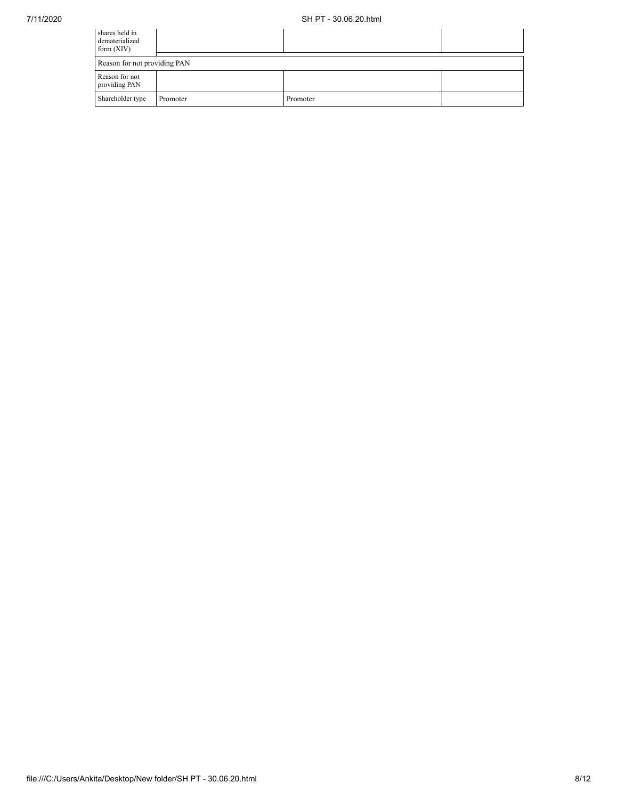| shares held in<br>dematerialized<br>form $(XIV)$ |          |          |  |  |  |  |
|--------------------------------------------------|----------|----------|--|--|--|--|
| Reason for not providing PAN                     |          |          |  |  |  |  |
| Reason for not<br>providing PAN                  |          |          |  |  |  |  |
| Shareholder type                                 | Promoter | Promoter |  |  |  |  |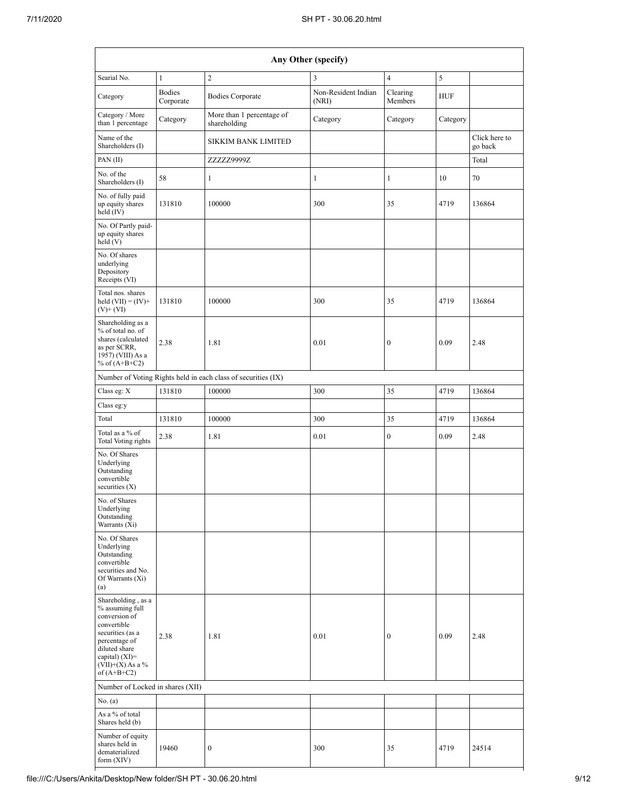|                                                                                                                                                                                      | Any Other (specify)        |                                                               |                              |                     |            |                          |  |  |  |  |
|--------------------------------------------------------------------------------------------------------------------------------------------------------------------------------------|----------------------------|---------------------------------------------------------------|------------------------------|---------------------|------------|--------------------------|--|--|--|--|
| Searial No.                                                                                                                                                                          | $\mathbf{1}$               | $\overline{c}$                                                | $\overline{\mathbf{3}}$      | $\overline{4}$      | 5          |                          |  |  |  |  |
| Category                                                                                                                                                                             | <b>Bodies</b><br>Corporate | <b>Bodies Corporate</b>                                       | Non-Resident Indian<br>(NRI) | Clearing<br>Members | <b>HUF</b> |                          |  |  |  |  |
| Category / More<br>than 1 percentage                                                                                                                                                 | Category                   | More than 1 percentage of<br>shareholding                     | Category                     | Category            | Category   |                          |  |  |  |  |
| Name of the<br>Shareholders (I)                                                                                                                                                      |                            | <b>SIKKIM BANK LIMITED</b>                                    |                              |                     |            | Click here to<br>go back |  |  |  |  |
| PAN (II)                                                                                                                                                                             |                            | ZZZZZ9999Z                                                    |                              |                     |            | Total                    |  |  |  |  |
| No. of the<br>Shareholders (I)                                                                                                                                                       | 58                         | $\mathbf{1}$                                                  | 1                            | 1                   | 10         | 70                       |  |  |  |  |
| No. of fully paid<br>up equity shares<br>held (IV)                                                                                                                                   | 131810                     | 100000                                                        | 300                          | 35                  | 4719       | 136864                   |  |  |  |  |
| No. Of Partly paid-<br>up equity shares<br>held (V)                                                                                                                                  |                            |                                                               |                              |                     |            |                          |  |  |  |  |
| No. Of shares<br>underlying<br>Depository<br>Receipts (VI)                                                                                                                           |                            |                                                               |                              |                     |            |                          |  |  |  |  |
| Total nos. shares<br>held $(VII) = (IV) +$<br>$(V)$ + $(VI)$                                                                                                                         | 131810                     | 100000                                                        | 300                          | 35                  | 4719       | 136864                   |  |  |  |  |
| Shareholding as a<br>% of total no. of<br>shares (calculated<br>as per SCRR,<br>1957) (VIII) As a<br>% of $(A+B+C2)$                                                                 | 2.38                       | 1.81                                                          | 0.01                         | $\boldsymbol{0}$    | 0.09       | 2.48                     |  |  |  |  |
|                                                                                                                                                                                      |                            | Number of Voting Rights held in each class of securities (IX) |                              |                     |            |                          |  |  |  |  |
| Class eg: X                                                                                                                                                                          | 131810                     | 100000                                                        | 300                          | 35                  | 4719       | 136864                   |  |  |  |  |
| Class eg:y                                                                                                                                                                           |                            |                                                               |                              |                     |            |                          |  |  |  |  |
| Total                                                                                                                                                                                | 131810                     | 100000                                                        | 300                          | 35                  | 4719       | 136864                   |  |  |  |  |
| Total as a % of<br><b>Total Voting rights</b>                                                                                                                                        | 2.38                       | 1.81                                                          | 0.01                         | $\boldsymbol{0}$    | 0.09       | 2.48                     |  |  |  |  |
| No. Of Shares<br>Underlying<br>Outstanding<br>convertible<br>securities $(X)$                                                                                                        |                            |                                                               |                              |                     |            |                          |  |  |  |  |
| No. of Shares<br>Underlying<br>Outstanding<br>Warrants (Xi)                                                                                                                          |                            |                                                               |                              |                     |            |                          |  |  |  |  |
| No. Of Shares<br>Underlying<br>Outstanding<br>convertible<br>securities and No.<br>Of Warrants (Xi)<br>(a)                                                                           |                            |                                                               |                              |                     |            |                          |  |  |  |  |
| Shareholding, as a<br>% assuming full<br>conversion of<br>convertible<br>securities (as a<br>percentage of<br>diluted share<br>capital) (XI)=<br>$(VII)+(X)$ As a %<br>of $(A+B+C2)$ | 2.38                       | 1.81                                                          | 0.01                         | $\boldsymbol{0}$    | 0.09       | 2.48                     |  |  |  |  |
| Number of Locked in shares (XII)                                                                                                                                                     |                            |                                                               |                              |                     |            |                          |  |  |  |  |
| No. (a)                                                                                                                                                                              |                            |                                                               |                              |                     |            |                          |  |  |  |  |
| As a % of total<br>Shares held (b)                                                                                                                                                   |                            |                                                               |                              |                     |            |                          |  |  |  |  |
| Number of equity<br>shares held in<br>dematerialized<br>form $(XIV)$                                                                                                                 | 19460                      | $\boldsymbol{0}$                                              | 300                          | 35                  | 4719       | 24514                    |  |  |  |  |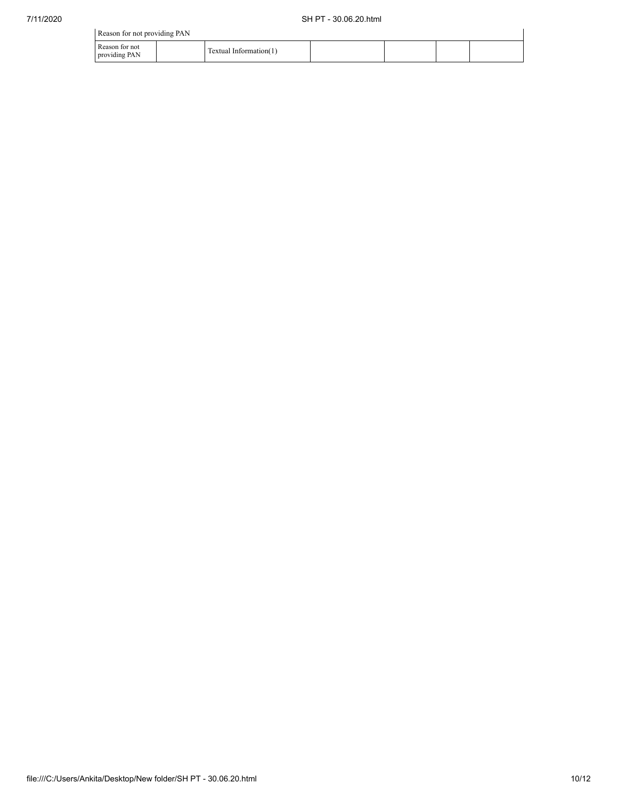| Reason for not providing PAN    |                        |  |  |
|---------------------------------|------------------------|--|--|
| Reason for not<br>providing PAN | Textual Information(1) |  |  |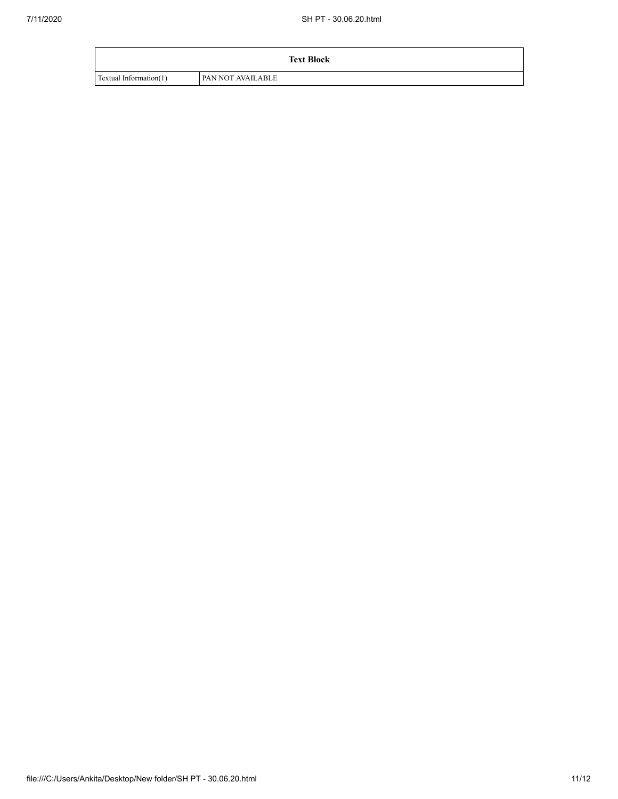|                        | <b>Text Block</b>        |
|------------------------|--------------------------|
| Textual Information(1) | <b>PAN NOT AVAILABLE</b> |